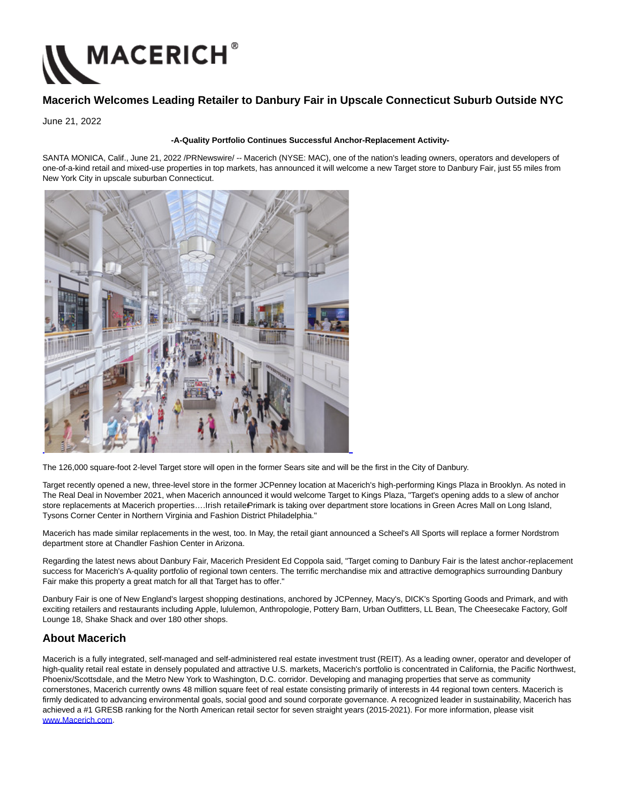

## **Macerich Welcomes Leading Retailer to Danbury Fair in Upscale Connecticut Suburb Outside NYC**

June 21, 2022

## **-A-Quality Portfolio Continues Successful Anchor-Replacement Activity-**

SANTA MONICA, Calif., June 21, 2022 /PRNewswire/ -- Macerich (NYSE: MAC), one of the nation's leading owners, operators and developers of one-of-a-kind retail and mixed-use properties in top markets, has announced it will welcome a new Target store to Danbury Fair, just 55 miles from New York City in upscale suburban Connecticut.



The 126,000 square-foot 2-level Target store will open in the former Sears site and will be the first in the City of Danbury.

Target recently opened a new, three-level store in the former JCPenney location at Macerich's high-performing Kings Plaza in Brooklyn. As noted in The Real Deal in November 2021, when Macerich announced it would welcome Target to Kings Plaza, "Target's opening adds to a slew of anchor store replacements at Macerich properties....Irish retaile Primark is taking over department store locations in Green Acres Mall on Long Island, Tysons Corner Center in Northern Virginia and Fashion District Philadelphia."

Macerich has made similar replacements in the west, too. In May, the retail giant announced a Scheel's All Sports will replace a former Nordstrom department store at Chandler Fashion Center in Arizona.

Regarding the latest news about Danbury Fair, Macerich President Ed Coppola said, "Target coming to Danbury Fair is the latest anchor-replacement success for Macerich's A-quality portfolio of regional town centers. The terrific merchandise mix and attractive demographics surrounding Danbury Fair make this property a great match for all that Target has to offer."

Danbury Fair is one of New England's largest shopping destinations, anchored by JCPenney, Macy's, DICK's Sporting Goods and Primark, and with exciting retailers and restaurants including Apple, lululemon, Anthropologie, Pottery Barn, Urban Outfitters, LL Bean, The Cheesecake Factory, Golf Lounge 18, Shake Shack and over 180 other shops.

## **About Macerich**

Macerich is a fully integrated, self-managed and self-administered real estate investment trust (REIT). As a leading owner, operator and developer of high-quality retail real estate in densely populated and attractive U.S. markets, Macerich's portfolio is concentrated in California, the Pacific Northwest, Phoenix/Scottsdale, and the Metro New York to Washington, D.C. corridor. Developing and managing properties that serve as community cornerstones, Macerich currently owns 48 million square feet of real estate consisting primarily of interests in 44 regional town centers. Macerich is firmly dedicated to advancing environmental goals, social good and sound corporate governance. A recognized leader in sustainability, Macerich has achieved a #1 GRESB ranking for the North American retail sector for seven straight years (2015-2021). For more information, please visit [www.Macerich.com.](https://c212.net/c/link/?t=0&l=en&o=3572786-1&h=1549303408&u=https%3A%2F%2Fwww.macerich.com%2F&a=www.Macerich.com)